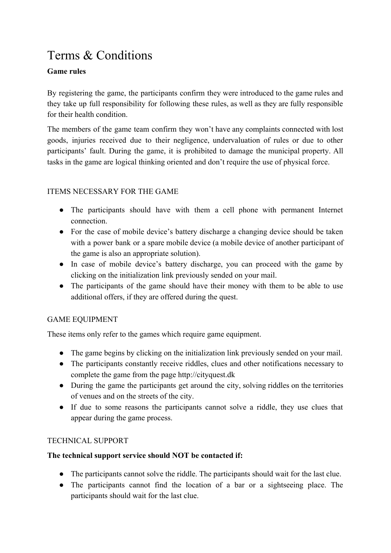# Terms & Conditions

# **Game rules**

By registering the game, the participants confirm they were introduced to the game rules and they take up full responsibility for following these rules, as well as they are fully responsible for their health condition.

The members of the game team confirm they won't have any complaints connected with lost goods, injuries received due to their negligence, undervaluation of rules or due to other participants' fault. During the game, it is prohibited to damage the municipal property. All tasks in the game are logical thinking oriented and don't require the use of physical force.

# ITEMS NECESSARY FOR THE GAME

- The participants should have with them a cell phone with permanent Internet connection.
- For the case of mobile device's battery discharge a changing device should be taken with a power bank or a spare mobile device (a mobile device of another participant of the game is also an appropriate solution).
- In case of mobile device's battery discharge, you can proceed with the game by clicking on the initialization link previously sended on your mail.
- The participants of the game should have their money with them to be able to use additional offers, if they are offered during the quest.

# GAME EQUIPMENT

These items only refer to the games which require game equipment.

- The game begins by clicking on the initialization link previously sended on your mail.
- The participants constantly receive riddles, clues and other notifications necessary to complete the game from the page http://cityquest.dk
- During the game the participants get around the city, solving riddles on the territories of venues and on the streets of the city.
- If due to some reasons the participants cannot solve a riddle, they use clues that appear during the game process.

# TECHNICAL SUPPORT

# **The technical support service should NOT be contacted if:**

- The participants cannot solve the riddle. The participants should wait for the last clue.
- The participants cannot find the location of a bar or a sightseeing place. The participants should wait for the last clue.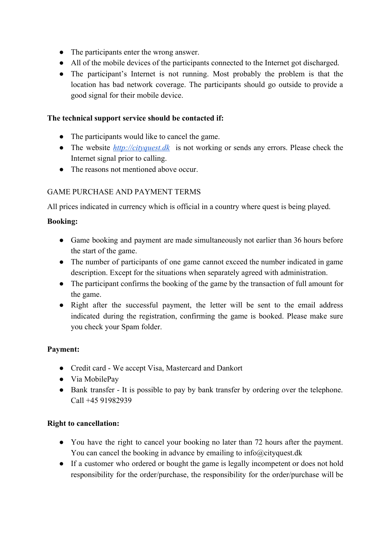- The participants enter the wrong answer.
- All of the mobile devices of the participants connected to the Internet got discharged.
- The participant's Internet is not running. Most probably the problem is that the location has bad network coverage. The participants should go outside to provide a good signal for their mobile device.

#### **The technical support service should be contacted if:**

- The participants would like to cancel the game.
- The website *[http://cityquest.dk](http://beerquest.dk/)* is not working or sends any errors. Please check the Internet signal prior to calling.
- The reasons not mentioned above occur.

# GAME PURCHASE AND PAYMENT TERMS

All prices indicated in currency which is official in a country where quest is being played.

# **Booking:**

- Game booking and payment are made simultaneously not earlier than 36 hours before the start of the game.
- The number of participants of one game cannot exceed the number indicated in game description. Except for the situations when separately agreed with administration.
- The participant confirms the booking of the game by the transaction of full amount for the game.
- Right after the successful payment, the letter will be sent to the email address indicated during the registration, confirming the game is booked. Please make sure you check your Spam folder.

# **Payment:**

- Credit card We accept Visa, Mastercard and Dankort
- Via MobilePay
- Bank transfer It is possible to pay by bank transfer by ordering over the telephone. Call +45 91982939

# **Right to cancellation:**

- You have the right to cancel your booking no later than 72 hours after the payment. You can cancel the booking in advance by emailing to info@cityquest.dk
- If a customer who ordered or bought the game is legally incompetent or does not hold responsibility for the order/purchase, the responsibility for the order/purchase will be